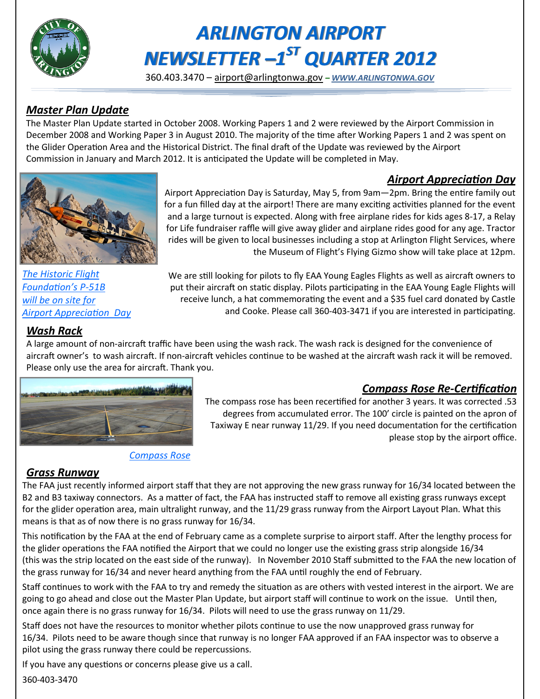

# *ARLINGTON AIRPORT NEWSLETTER –1 ST QUARTER 2012*

360.403.3470 – [airport@arlingtonwa.gov](mailto:airport@arlingtonwa.gov) *– [WWW.ARLINGTONWA.GOV](http://www.arlingtonwa.gov)*

## *Master Plan Update*

The Master Plan Update started in October 2008. Working Papers 1 and 2 were reviewed by the Airport Commission in December 2008 and Working Paper 3 in August 2010. The majority of the time after Working Papers 1 and 2 was spent on the Glider Operation Area and the Historical District. The final draft of the Update was reviewed by the Airport Commission in January and March 2012. It is anticipated the Update will be completed in May.

## *Airport Appreciation Day*



Airport Appreciation Day is Saturday, May 5, from 9am—2pm. Bring the entire family out for a fun filled day at the airport! There are many exciting activities planned for the event and a large turnout is expected. Along with free airplane rides for kids ages 8-17, a Relay for Life fundraiser raffle will give away glider and airplane rides good for any age. Tractor rides will be given to local businesses including a stop at Arlington Flight Services, where the Museum of Flight's Flying Gizmo show will take place at 12pm.

*The Historic Flight Foundation's P-51B will be on site for Airport Appreciation Day*

We are still looking for pilots to fly EAA Young Eagles Flights as well as aircraft owners to put their aircraft on static display. Pilots participating in the EAA Young Eagle Flights will receive lunch, a hat commemorating the event and a \$35 fuel card donated by Castle and Cooke. Please call 360-403-3471 if you are interested in participating.

## *Wash Rack*

A large amount of non-aircraft traffic have been using the wash rack. The wash rack is designed for the convenience of aircraft owner's to wash aircraft. If non-aircraft vehicles continue to be washed at the aircraft wash rack it will be removed. Please only use the area for aircraft. Thank you.



#### *Compass Rose*

## *Compass Rose Re-Certification*

The compass rose has been recertified for another 3 years. It was corrected .53 degrees from accumulated error. The 100' circle is painted on the apron of Taxiway E near runway 11/29. If you need documentation for the certification please stop by the airport office.

## *Grass Runway*

The FAA just recently informed airport staff that they are not approving the new grass runway for 16/34 located between the B2 and B3 taxiway connectors. As a matter of fact, the FAA has instructed staff to remove all existing grass runways except for the glider operation area, main ultralight runway, and the 11/29 grass runway from the Airport Layout Plan. What this means is that as of now there is no grass runway for 16/34.

This notification by the FAA at the end of February came as a complete surprise to airport staff. After the lengthy process for the glider operations the FAA notified the Airport that we could no longer use the existing grass strip alongside 16/34 (this was the strip located on the east side of the runway). In November 2010 Staff submitted to the FAA the new location of the grass runway for 16/34 and never heard anything from the FAA until roughly the end of February.

Staff continues to work with the FAA to try and remedy the situation as are others with vested interest in the airport. We are going to go ahead and close out the Master Plan Update, but airport staff will continue to work on the issue. Until then, once again there is no grass runway for 16/34. Pilots will need to use the grass runway on 11/29.

Staff does not have the resources to monitor whether pilots continue to use the now unapproved grass runway for 16/34. Pilots need to be aware though since that runway is no longer FAA approved if an FAA inspector was to observe a pilot using the grass runway there could be repercussions.

If you have any questions or concerns please give us a call.

360-403-3470